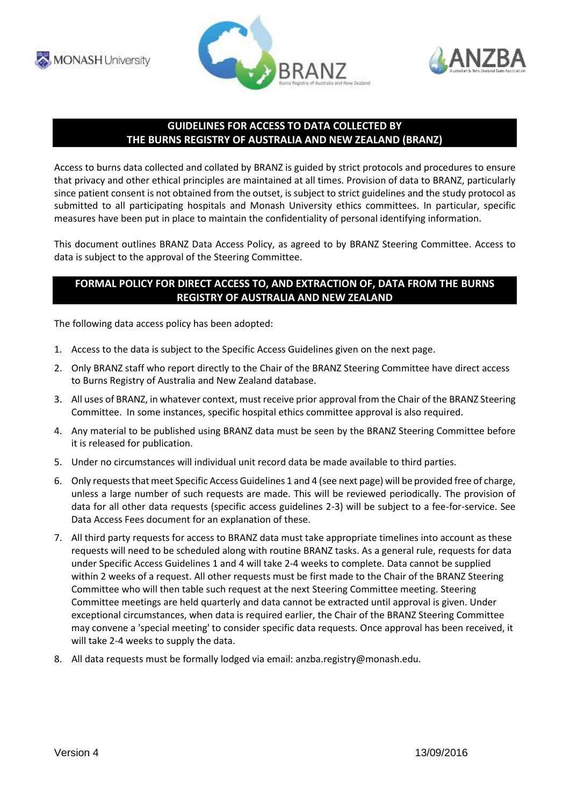





## **GUIDELINES FOR ACCESS TO DATA COLLECTED BY THE BURNS REGISTRY OF AUSTRALIA AND NEW ZEALAND (BRANZ)**

Access to burns data collected and collated by BRANZ is guided by strict protocols and procedures to ensure that privacy and other ethical principles are maintained at all times. Provision of data to BRANZ, particularly since patient consent is not obtained from the outset, is subject to strict guidelines and the study protocol as submitted to all participating hospitals and Monash University ethics committees. In particular, specific measures have been put in place to maintain the confidentiality of personal identifying information.

This document outlines BRANZ Data Access Policy, as agreed to by BRANZ Steering Committee. Access to data is subject to the approval of the Steering Committee.

## **FORMAL POLICY FOR DIRECT ACCESS TO, AND EXTRACTION OF, DATA FROM THE BURNS REGISTRY OF AUSTRALIA AND NEW ZEALAND**

The following data access policy has been adopted:

- 1. Access to the data is subject to the Specific Access Guidelines given on the next page.
- 2. Only BRANZ staff who report directly to the Chair of the BRANZ Steering Committee have direct access to Burns Registry of Australia and New Zealand database.
- 3. All uses of BRANZ, in whatever context, must receive prior approval from the Chair of the BRANZ Steering Committee. In some instances, specific hospital ethics committee approval is also required.
- 4. Any material to be published using BRANZ data must be seen by the BRANZ Steering Committee before it is released for publication.
- 5. Under no circumstances will individual unit record data be made available to third parties.
- 6. Only requests that meet Specific Access Guidelines 1 and 4 (see next page) will be provided free of charge, unless a large number of such requests are made. This will be reviewed periodically. The provision of data for all other data requests (specific access guidelines 2-3) will be subject to a fee-for-service. See Data Access Fees document for an explanation of these.
- 7. All third party requests for access to BRANZ data must take appropriate timelines into account as these requests will need to be scheduled along with routine BRANZ tasks. As a general rule, requests for data under Specific Access Guidelines 1 and 4 will take 2-4 weeks to complete. Data cannot be supplied within 2 weeks of a request. All other requests must be first made to the Chair of the BRANZ Steering Committee who will then table such request at the next Steering Committee meeting. Steering Committee meetings are held quarterly and data cannot be extracted until approval is given. Under exceptional circumstances, when data is required earlier, the Chair of the BRANZ Steering Committee may convene a 'special meeting' to consider specific data requests. Once approval has been received, it will take 2-4 weeks to supply the data.
- 8. All data requests must be formally lodged via email: anzba.registry@monash.edu.